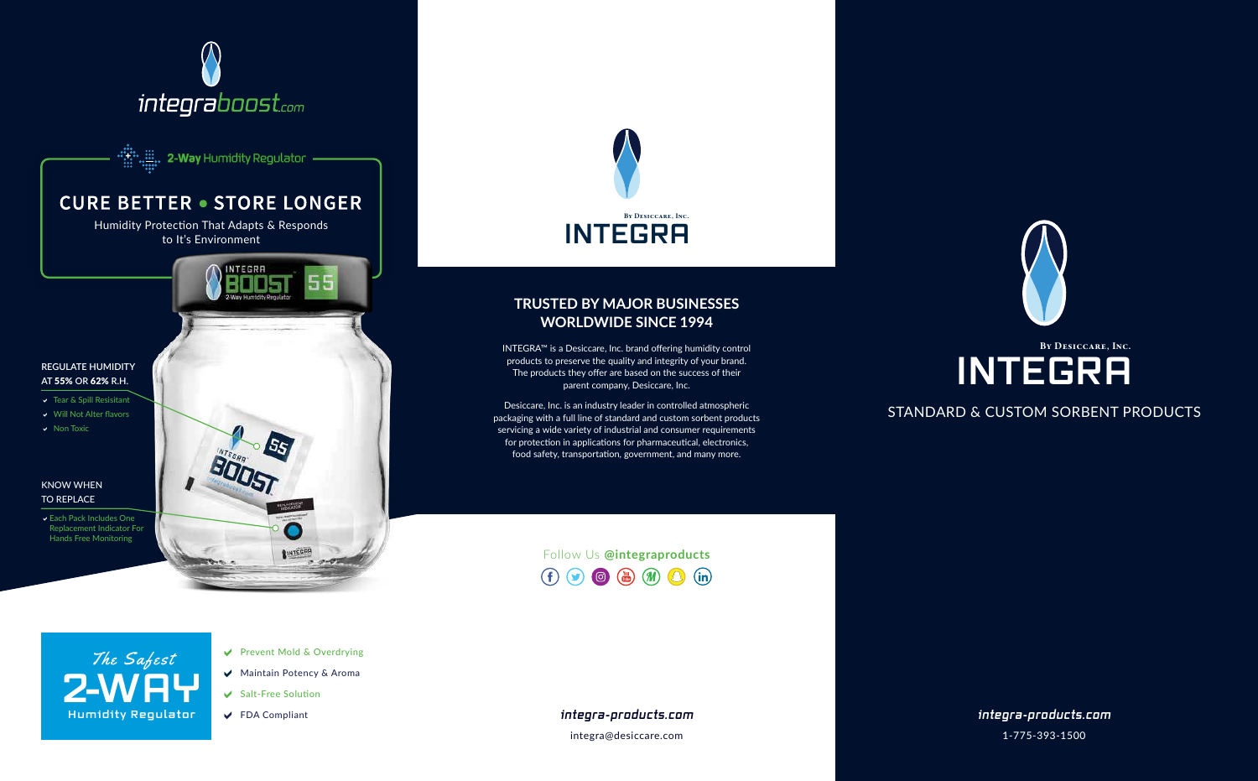## **TRUSTED BY MAJOR BUSINESSES WORLDWIDE SINCE 1994**

INTEGRA™ is a Desiccare, Inc. brand offering humidity control products to preserve the quality and integrity of your brand. The products they offer are based on the success of their parent company, Desiccare, Inc.

- Prevent Mold & Overdrying
- ◆ Maintain Potency & Aroma
- Salt-Free Solution
- FDA Compliant

Desiccare, Inc. is an industry leader in controlled atmospheric packaging with a full line of standard and custom sorbent products servicing a wide variety of industrial and consumer requirements for protection in applications for pharmaceutical, electronics, food safety, transportation, government, and many more.

*integra-products.com*

1-775-393-1500

*integra-products.com*

integra@desiccare.com









## STANDARD & CUSTOM SORBENT PRODUCTS